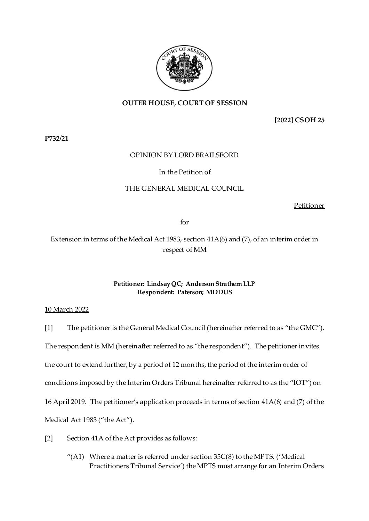

## **OUTER HOUSE, COURT OF SESSION**

**[2022] CSOH 25**

**P732/21**

### OPINION BY LORD BRAILSFORD

### In the Petition of

### THE GENERAL MEDICAL COUNCIL

Petitioner

for

# Extension in terms of the Medical Act 1983, section 41A(6) and (7), of an interim order in respect of MM

### **Petitioner: Lindsay QC; Anderson Strathern LLP Respondent: Paterson; MDDUS**

### 10 March 2022

[1] The petitioner is the General Medical Council (hereinafter referred to as "the GMC"). The respondent is MM (hereinafter referred to as "the respondent"). The petitioner invites the court to extend further, by a period of 12 months, the period of the interim order of conditions imposed by the Interim Orders Tribunal hereinafter referred to as the "IOT") on 16 April 2019. The petitioner's application proceeds in terms of section 41A(6) and (7) of the Medical Act 1983 ("the Act").

- [2] Section 41A of the Act provides as follows:
	- "(A1) Where a matter is referred under section  $35C(8)$  to the MPTS, ('Medical Practitioners Tribunal Service') the MPTS must arrange for an Interim Orders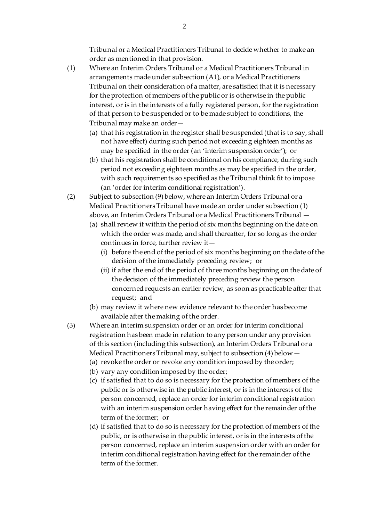Tribunal or a Medical Practitioners Tribunal to decide whether to make an order as mentioned in that provision.

- (1) Where an Interim Orders Tribunal or a Medical Practitioners Tribunal in arrangements made under subsection (A1), or a Medical Practitioners Tribunal on their consideration of a matter, are satisfied that it is necessary for the protection of members of the public or is otherwise in the public interest, or is in the interests of a fully registered person, for the registration of that person to be suspended or to be made subject to conditions, the Tribunal may make an order—
	- (a) that his registration in the register shall be suspended (that is to say, shall not have effect) during such period not exceeding eighteen months as may be specified in the order (an 'interim suspension order'); or
	- (b) that his registration shall be conditional on his compliance, during such period not exceeding eighteen months as may be specified in the order, with such requirements so specified as the Tribunal think fit to impose (an 'order for interim conditional registration').
- (2) Subject to subsection (9) below, where an Interim Orders Tribunal or a Medical Practitioners Tribunal have made an order under subsection (1) above, an Interim Orders Tribunal or a Medical Practitioners Tribunal —
	- (a) shall review it within the period of six months beginning on the date on which the order was made, and shall thereafter, for so long as the order continues in force, further review it—
		- (i) before the end of the period of six months beginning on the date of the decision of the immediately preceding review; or
		- (ii) if after the end of the period of three months beginning on the date of the decision of the immediately preceding review the person concerned requests an earlier review, as soon as practicable after that request; and
	- (b) may review it where new evidence relevant to the order has become available after the making of the order.
- (3) Where an interim suspension order or an order for interim conditional registration has been made in relation to any person under any provision of this section (including this subsection), an Interim Orders Tribunal or a Medical Practitioners Tribunal may, subject to subsection (4) below—
	- (a) revoke the order or revoke any condition imposed by the order;
	- (b) vary any condition imposed by the order;
	- (c) if satisfied that to do so is necessary for the protection of members of the public or is otherwise in the public interest, or is in the interests of the person concerned, replace an order for interim conditional registration with an interim suspension order having effect for the remainder of the term of the former; or
	- (d) if satisfied that to do so is necessary for the protection of members of the public, or is otherwise in the public interest, or is in the interests of the person concerned, replace an interim suspension order with an order for interim conditional registration having effect for the remainder of the term of the former.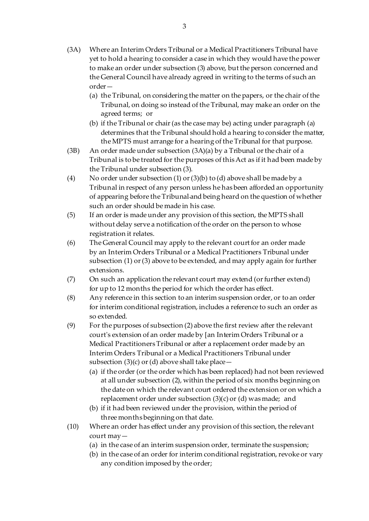- (3A) Where an Interim Orders Tribunal or a Medical Practitioners Tribunal have yet to hold a hearing to consider a case in which they would have the power to make an order under subsection (3) above, but the person concerned and the General Council have already agreed in writing to the terms of such an order—
	- (a) the Tribunal, on considering the matter on the papers, or the chair of the Tribunal, on doing so instead of the Tribunal, may make an order on the agreed terms; or
	- (b) if the Tribunal or chair (as the case may be) acting under paragraph (a) determines that the Tribunal should hold a hearing to consider the matter, the MPTS must arrange for a hearing of the Tribunal for that purpose.
- (3B) An order made under subsection  $(3A)(a)$  by a Tribunal or the chair of a Tribunal is to be treated for the purposes of this Act as if it had been made by the Tribunal under subsection (3).
- (4) No order under subsection (1) or (3)(b) to (d) above shall be made by a Tribunal in respect of any person unless he has been afforded an opportunity of appearing before the Tribunal and being heard on the question of whether such an order should be made in his case.
- (5) If an order is made under any provision of this section, the MPTS shall without delay serve a notification of the order on the person to whose registration it relates.
- (6) The General Council may apply to the relevant court for an order made by an Interim Orders Tribunal or a Medical Practitioners Tribunal under subsection (1) or (3) above to be extended, and may apply again for further extensions.
- (7) On such an application the relevant court may extend (or further extend) for up to 12 months the period for which the order has effect.
- (8) Any reference in this section to an interim suspension order, or to an order for interim conditional registration, includes a reference to such an order as so extended.
- (9) For the purposes of subsection (2) above the first review after the relevant court's extension of an order made by [an Interim Orders Tribunal or a Medical Practitioners Tribunal or after a replacement order made by an Interim Orders Tribunal or a Medical Practitioners Tribunal under subsection  $(3)(c)$  or  $(d)$  above shall take place —
	- (a) if the order (or the order which has been replaced) had not been reviewed at all under subsection (2), within the period of six months beginning on the date on which the relevant court ordered the extension or on which a replacement order under subsection (3)(c) or (d) was made; and
	- (b) if it had been reviewed under the provision, within the period of three months beginning on that date.
- (10) Where an order has effect under any provision of this section, the relevant court may—
	- (a) in the case of an interim suspension order, terminate the suspension;
	- (b) in the case of an order for interim conditional registration, revoke or vary any condition imposed by the order;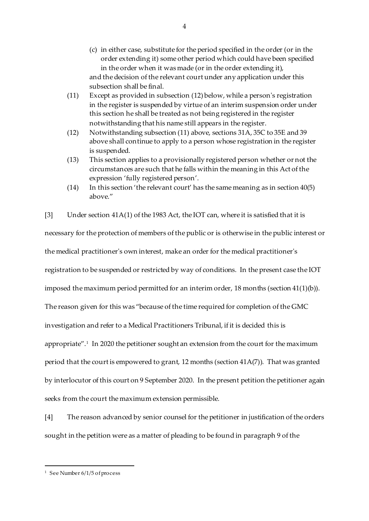- (c) in either case, substitute for the period specified in the order (or in the order extending it) some other period which could have been specified in the order when it was made (or in the order extending it), and the decision of the relevant court under any application under this subsection shall be final.
- (11) Except as provided in subsection (12) below, while a person's registration in the register is suspended by virtue of an interim suspension order under this section he shall be treated as not being registered in the register notwithstanding that his name still appears in the register.
- (12) Notwithstanding subsection (11) above, sections 31A, 35C to 35E and 39 above shall continue to apply to a person whose registration in the register is suspended.
- (13) This section applies to a provisionally registered person whether or not the circumstances are such that he falls within the meaning in this Act of the expression 'fully registered person'.
- (14) In this section 'the relevant court' has the same meaning as in section 40(5) above."

[3] Under section 41A(1) of the 1983 Act, the IOT can, where it is satisfied that it is necessary for the protection of members of the public or is otherwise in the public interest or the medical practitioner's own interest, make an order for the medical practitioner's registration to be suspended or restricted by way of conditions. In the present case the IOT imposed the maximum period permitted for an interim order, 18 months (section 41(1)(b)). The reason given for this was "because of the time required for completion of the GMC investigation and refer to a Medical Practitioners Tribunal, if it is decided this is appropriate".<sup>1</sup> In 2020 the petitioner sought an extension from the court for the maximum period that the court is empowered to grant, 12 months (section 41A(7)). That was granted by interlocutor of this court on 9 September 2020. In the present petition the petitioner again seeks from the court the maximum extension permissible.

[4] The reason advanced by senior counsel for the petitioner in justification of the orders sought in the petition were as a matter of pleading to be found in paragraph 9 of the

 $\overline{a}$ <sup>1</sup> See Number 6/1/5 of process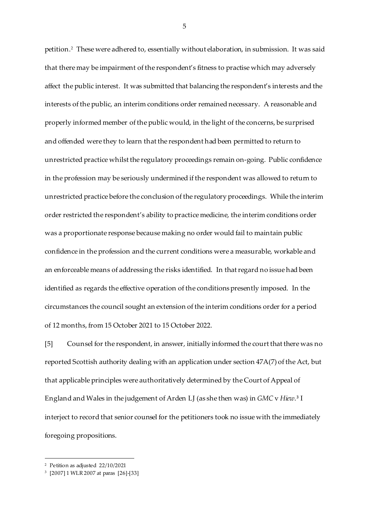petition.<sup>2</sup> These were adhered to, essentially without elaboration, in submission. It was said that there may be impairment of the respondent's fitness to practise which may adversely affect the public interest. It was submitted that balancing the respondent's interests and the interests of the public, an interim conditions order remained necessary. A reasonable and properly informed member of the public would, in the light of the concerns, be surprised and offended were they to learn that the respondent had been permitted to return to unrestricted practice whilst the regulatory proceedings remain on-going. Public confidence in the profession may be seriously undermined if the respondent was allowed to return to unrestricted practice before the conclusion of the regulatory proceedings. While the interim order restricted the respondent's ability to practice medicine, the interim conditions order was a proportionate response because making no order would fail to maintain public confidence in the profession and the current conditions were a measurable, workable and an enforceable means of addressing the risks identified. In that regard no issue had been identified as regards the effective operation of the conditions presently imposed. In the circumstances the council sought an extension of the interim conditions order for a period of 12 months, from 15 October 2021 to 15 October 2022.

[5] Counsel for the respondent, in answer, initially informed the court that there was no reported Scottish authority dealing with an application under section 47A(7) of the Act, but that applicable principles were authoritatively determined by the Court of Appeal of England and Wales in the judgement of Arden LJ (as she then was) in *GMC* v *Hiew*. 3 I interject to record that senior counsel for the petitioners took no issue with the immediately foregoing propositions.

 $\overline{a}$ 

<sup>2</sup> Petition as adjusted 22/10/2021

<sup>3</sup> [2007] 1 WLR 2007 at paras [26]-[33]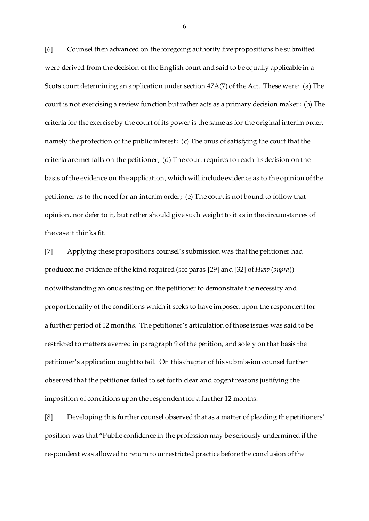[6] Counsel then advanced on the foregoing authority five propositions he submitted were derived from the decision of the English court and said to be equally applicable in a Scots court determining an application under section 47A(7) of the Act. These were: (a) The court is not exercising a review function but rather acts as a primary decision maker; (b) The criteria for the exercise by the court of its power is the same as for the original interim order, namely the protection of the public interest; (c) The onus of satisfying the court that the criteria are met falls on the petitioner; (d) The court requires to reach its decision on the basis of the evidence on the application, which will include evidence as to the opinion of the petitioner as to the need for an interim order; (e) The court is not bound to follow that opinion, nor defer to it, but rather should give such weight to it as in the circumstances of the case it thinks fit.

[7] Applying these propositions counsel's submission was that the petitioner had produced no evidence of the kind required (see paras [29] and [32] of *Hiew* (*supra*)) notwithstanding an onus resting on the petitioner to demonstrate the necessity and proportionality of the conditions which it seeks to have imposed upon the respondent for a further period of 12 months. The petitioner's articulation of those issues was said to be restricted to matters averred in paragraph 9 of the petition, and solely on that basis the petitioner's application ought to fail. On this chapter of his submission counsel further observed that the petitioner failed to set forth clear and cogent reasons justifying the imposition of conditions upon the respondent for a further 12 months.

[8] Developing this further counsel observed that as a matter of pleading the petitioners' position was that "Public confidence in the profession may be seriously undermined if the respondent was allowed to return to unrestricted practice before the conclusion of the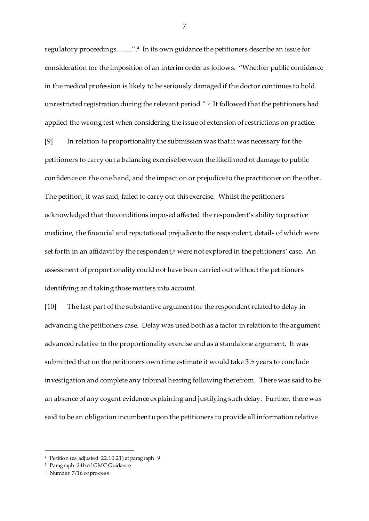regulatory proceedings…….". 4 In its own guidance the petitioners describe an issue for consideration for the imposition of an interim order as follows: "Whether public confidence in the medical profession is likely to be seriously damaged if the doctor continues to hold unrestricted registration during the relevant period." <sup>5</sup> It followed that the petitioners had applied the wrong test when considering the issue of extension of restrictions on practice.

[9] In relation to proportionality the submission was that it was necessary for the petitioners to carry out a balancing exercise between the likelihood of damage to public confidence on the one hand, and the impact on or prejudice to the practitioner on the other. The petition, it was said, failed to carry out this exercise. Whilst the petitioners acknowledged that the conditions imposed affected the respondent's ability to practice medicine, the financial and reputational prejudice to the respondent, details of which were set forth in an affidavit by the respondent,<sup>6</sup> were not explored in the petitioners' case. An assessment of proportionality could not have been carried out without the petitioner s identifying and taking those matters into account.

[10] The last part of the substantive argument for the respondent related to delay in advancing the petitioners case. Delay was used both as a factor in relation to the argument advanced relative to the proportionality exercise and as a standalone argument. It was submitted that on the petitioners own time estimate it would take 3½ years to conclude investigation and complete any tribunal hearing following therefrom. There was said to be an absence of any cogent evidence explaining and justifying such delay. Further, there was said to be an obligation incumbent upon the petitioners to provide all information relative

 $\overline{a}$ 

<sup>4</sup> Petition (as adjusted 22.10.21) at paragraph 9

<sup>5</sup> Paragraph 24b of GMC Guidance

<sup>6</sup> Number 7/16 of process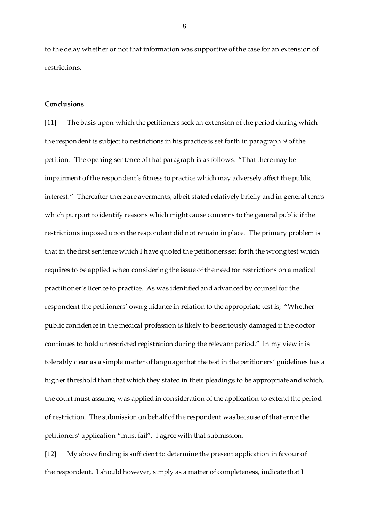to the delay whether or not that information was supportive of the case for an extension of restrictions.

#### **Conclusions**

[11] The basis upon which the petitioners seek an extension of the period during which the respondent is subject to restrictions in his practice is set forth in paragraph 9 of the petition. The opening sentence of that paragraph is as follows: "That there may be impairment of the respondent's fitness to practice which may adversely affect the public interest." Thereafter there are averments, albeit stated relatively briefly and in general terms which purport to identify reasons which might cause concerns to the general public if the restrictions imposed upon the respondent did not remain in place. The primary problem is that in the first sentence which I have quoted the petitioners set forth the wrong test which requires to be applied when considering the issue of the need for restrictions on a medical practitioner's licence to practice. As was identified and advanced by counsel for the respondent the petitioners' own guidance in relation to the appropriate test is; "Whether public confidence in the medical profession is likely to be seriously damaged if the doctor continues to hold unrestricted registration during the relevant period." In my view it is tolerably clear as a simple matter of language that the test in the petitioners' guidelines has a higher threshold than that which they stated in their pleadings to be appropriate and which, the court must assume, was applied in consideration of the application to extend the period of restriction. The submission on behalf of the respondent was because of that error the petitioners' application "must fail". I agree with that submission.

[12] My above finding is sufficient to determine the present application in favour of the respondent. I should however, simply as a matter of completeness, indicate that I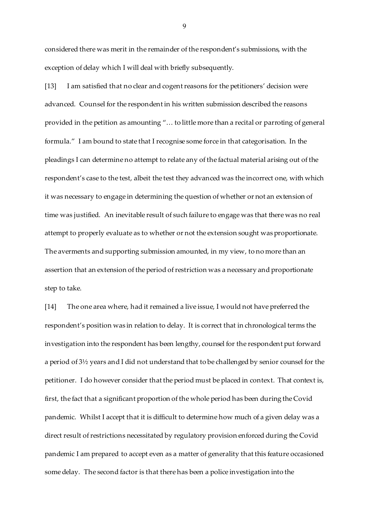considered there was merit in the remainder of the respondent's submissions, with the exception of delay which I will deal with briefly subsequently.

[13] I am satisfied that no clear and cogent reasons for the petitioners' decision were advanced. Counsel for the respondent in his written submission described the reasons provided in the petition as amounting "… to little more than a recital or parroting of general formula." I am bound to state that I recognise some force in that categorisation. In the pleadings I can determine no attempt to relate any of the factual material arising out of the respondent's case to the test, albeit the test they advanced was the incorrect one, with which it was necessary to engage in determining the question of whether or not an extension of time was justified. An inevitable result of such failure to engage was that there was no real attempt to properly evaluate as to whether or not the extension sought was proportionate. The averments and supporting submission amounted, in my view, to no more than an assertion that an extension of the period of restriction was a necessary and proportionate step to take.

[14] The one area where, had it remained a live issue, I would not have preferred the respondent's position was in relation to delay. It is correct that in chronological terms the investigation into the respondent has been lengthy, counsel for the respondent put forward a period of 3½ years and I did not understand that to be challenged by senior counsel for the petitioner. I do however consider that the period must be placed in context. That context is, first, the fact that a significant proportion of the whole period has been during the Covid pandemic. Whilst I accept that it is difficult to determine how much of a given delay was a direct result of restrictions necessitated by regulatory provision enforced during the Covid pandemic I am prepared to accept even as a matter of generality that this feature occasioned some delay. The second factor is that there has been a police investigation into the